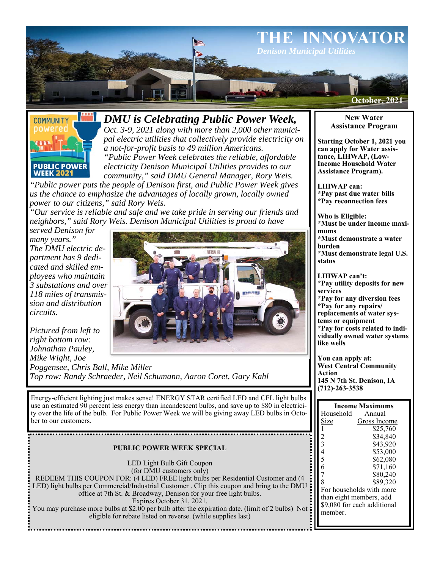



*DMU is Celebrating Public Power Week,* 

*Oct. 3-9, 2021 along with more than 2,000 other municipal electric utilities that collectively provide electricity on a not-for-profit basis to 49 million Americans. "Public Power Week celebrates the reliable, affordable* 

*electricity Denison Municipal Utilities provides to our community," said DMU General Manager, Rory Weis.* 

*"Public power puts the people of Denison first, and Public Power Week gives us the chance to emphasize the advantages of locally grown, locally owned power to our citizens," said Rory Weis.* 

*"Our service is reliable and safe and we take pride in serving our friends and neighbors," said Rory Weis. Denison Municipal Utilities is proud to have* 

*served Denison for many years." The DMU electric department has 9 dedicated and skilled employees who maintain 3 substations and over 118 miles of transmission and distribution circuits.* 



*Pictured from left to right bottom row: Johnathan Pauley, Mike Wight, Joe* 

*Poggensee, Chris Ball, Mike Miller Top row: Randy Schraeder, Neil Schumann, Aaron Coret, Gary Kahl* 

Energy-efficient lighting just makes sense! ENERGY STAR certified LED and CFL light bulbs use an estimated 90 percent less energy than incandescent bulbs, and save up to \$80 in electricity over the life of the bulb. For Public Power Week we will be giving away LED bulbs in October to our customers.

# **PUBLIC POWER WEEK SPECIAL**

................................

LED Light Bulb Gift Coupon (for DMU customers only) REDEEM THIS COUPON FOR: (4 LED) FREE light bulbs per Residential Customer and (4 LED) light bulbs per Commercial/Industrial Customer . Clip this coupon and bring to the DMU office at 7th St. & Broadway, Denison for your free light bulbs. Expires October 31, 2021. You may purchase more bulbs at \$2.00 per bulb after the expiration date. (limit of 2 bulbs) Not : eligible for rebate listed on reverse. (while supplies last)

# **New Water Assistance Program**

**Starting October 1, 2021 you can apply for Water assistance, LIHWAP, (Low-Income Household Water Assistance Program).** 

**LIHWAP can: \*Pay past due water bills \*Pay reconnection fees** 

**Who is Eligible: \*Must be under income maximums \*Must demonstrate a water burden** 

**\*Must demonstrate legal U.S. status** 

**LIHWAP can't: \*Pay utility deposits for new services** 

**\*Pay for any diversion fees \*Pay for any repairs/**

**replacements of water sys-**

**tems or equipment \*Pay for costs related to individually owned water systems** 

**like wells** 

**You can apply at: West Central Community Action 145 N 7th St. Denison, IA (712)-263-3538** 

| <b>Income Maximums</b>      |              |
|-----------------------------|--------------|
| Household                   | Annual       |
| Size                        | Gross Income |
|                             | \$25,760     |
| $\frac{2}{3}$               | \$34,840     |
|                             | \$43.920     |
| $\overline{4}$              | \$53,000     |
| 5                           | \$62.080     |
| 6                           | \$71,160     |
| 7                           | \$80,240     |
| 8                           | \$89.320     |
| For households with more    |              |
| than eight members, add     |              |
| \$9,080 for each additional |              |
| member.                     |              |
|                             |              |